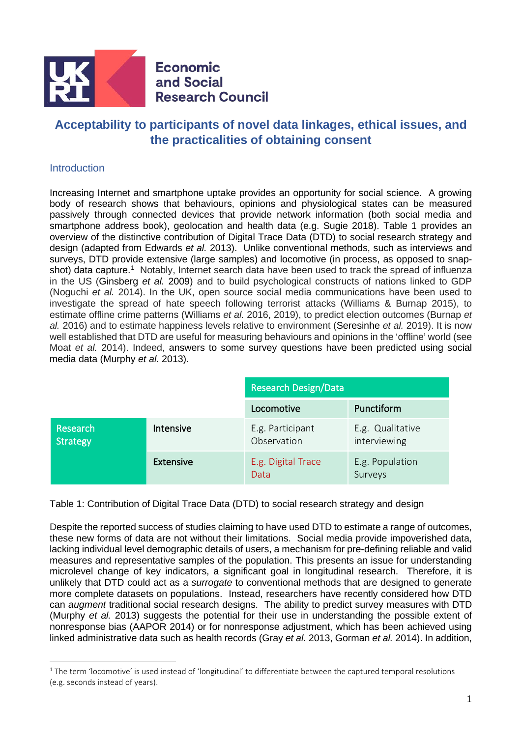

# **Acceptability to participants of novel data linkages, ethical issues, and the practicalities of obtaining consent**

# **Introduction**

Increasing Internet and smartphone uptake provides an opportunity for social science. A growing body of research shows that behaviours, opinions and physiological states can be measured passively through connected devices that provide network information (both social media and smartphone address book), geolocation and health data (e.g. Sugie 2018). Table 1 provides an overview of the distinctive contribution of Digital Trace Data (DTD) to social research strategy and design (adapted from Edwards *et al.* 2013). Unlike conventional methods, such as interviews and surveys, DTD provide extensive (large samples) and locomotive (in process, as opposed to snap-shot) data capture.<sup>[1](#page-0-0)</sup> Notably, Internet search data have been used to track the spread of influenza in the US (Ginsberg *et al.* 2009) and to build psychological constructs of nations linked to GDP (Noguchi *et al.* 2014). In the UK, open source social media communications have been used to investigate the spread of hate speech following terrorist attacks (Williams & Burnap 2015), to estimate offline crime patterns (Williams *et al.* 2016, 2019), to predict election outcomes (Burnap *et al.* 2016) and to estimate happiness levels relative to environment (Seresinhe *et al.* 2019). It is now well established that DTD are useful for measuring behaviours and opinions in the 'offline' world (see Moat *et al.* 2014). Indeed, answers to some survey questions have been predicted using social media data (Murphy *et al.* 2013).

|                             |                  | <b>Research Design/Data</b>     |                                  |  |
|-----------------------------|------------------|---------------------------------|----------------------------------|--|
|                             |                  | Locomotive                      | Punctiform                       |  |
| Research<br><b>Strategy</b> | Intensive        | E.g. Participant<br>Observation | E.g. Qualitative<br>interviewing |  |
|                             | <b>Extensive</b> | E.g. Digital Trace<br>Data      | E.g. Population<br>Surveys       |  |

Table 1: Contribution of Digital Trace Data (DTD) to social research strategy and design

Despite the reported success of studies claiming to have used DTD to estimate a range of outcomes, these new forms of data are not without their limitations. Social media provide impoverished data, lacking individual level demographic details of users, a mechanism for pre-defining reliable and valid measures and representative samples of the population. This presents an issue for understanding microlevel change of key indicators, a significant goal in longitudinal research. Therefore, it is unlikely that DTD could act as a *surrogate* to conventional methods that are designed to generate more complete datasets on populations. Instead, researchers have recently considered how DTD can *augment* traditional social research designs. The ability to predict survey measures with DTD (Murphy *et al.* 2013) suggests the potential for their use in understanding the possible extent of nonresponse bias (AAPOR 2014) or for nonresponse adjustment, which has been achieved using linked administrative data such as health records (Gray *et al.* 2013, Gorman *et al.* 2014). In addition,

<span id="page-0-0"></span> $1$  The term 'locomotive' is used instead of 'longitudinal' to differentiate between the captured temporal resolutions (e.g. seconds instead of years).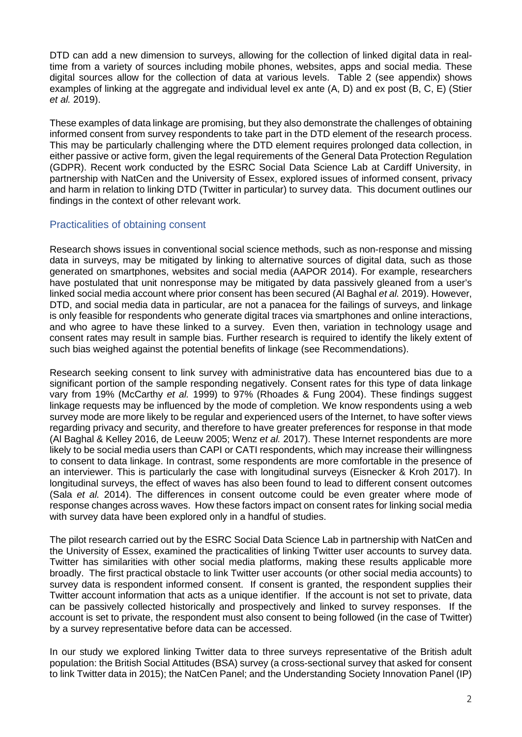DTD can add a new dimension to surveys, allowing for the collection of linked digital data in realtime from a variety of sources including mobile phones, websites, apps and social media. These digital sources allow for the collection of data at various levels. Table 2 (see appendix) shows examples of linking at the aggregate and individual level ex ante (A, D) and ex post (B, C, E) (Stier *et al.* 2019).

These examples of data linkage are promising, but they also demonstrate the challenges of obtaining informed consent from survey respondents to take part in the DTD element of the research process. This may be particularly challenging where the DTD element requires prolonged data collection, in either passive or active form, given the legal requirements of the General Data Protection Regulation (GDPR). Recent work conducted by the ESRC Social Data Science Lab at Cardiff University, in partnership with NatCen and the University of Essex, explored issues of informed consent, privacy and harm in relation to linking DTD (Twitter in particular) to survey data. This document outlines our findings in the context of other relevant work.

# Practicalities of obtaining consent

Research shows issues in conventional social science methods, such as non-response and missing data in surveys, may be mitigated by linking to alternative sources of digital data, such as those generated on smartphones, websites and social media (AAPOR 2014). For example, researchers have postulated that unit nonresponse may be mitigated by data passively gleaned from a user's linked social media account where prior consent has been secured (Al Baghal *et al.* 2019). However, DTD, and social media data in particular, are not a panacea for the failings of surveys, and linkage is only feasible for respondents who generate digital traces via smartphones and online interactions, and who agree to have these linked to a survey. Even then, variation in technology usage and consent rates may result in sample bias. Further research is required to identify the likely extent of such bias weighed against the potential benefits of linkage (see Recommendations).

Research seeking consent to link survey with administrative data has encountered bias due to a significant portion of the sample responding negatively. Consent rates for this type of data linkage vary from 19% (McCarthy *et al.* 1999) to 97% (Rhoades & Fung 2004). These findings suggest linkage requests may be influenced by the mode of completion. We know respondents using a web survey mode are more likely to be regular and experienced users of the Internet, to have softer views regarding privacy and security, and therefore to have greater preferences for response in that mode (Al Baghal & Kelley 2016, de Leeuw 2005; Wenz *et al.* 2017). These Internet respondents are more likely to be social media users than CAPI or CATI respondents, which may increase their willingness to consent to data linkage. In contrast, some respondents are more comfortable in the presence of an interviewer. This is particularly the case with longitudinal surveys (Eisnecker & Kroh 2017). In longitudinal surveys, the effect of waves has also been found to lead to different consent outcomes (Sala *et al.* 2014). The differences in consent outcome could be even greater where mode of response changes across waves. How these factors impact on consent rates for linking social media with survey data have been explored only in a handful of studies.

The pilot research carried out by the ESRC Social Data Science Lab in partnership with NatCen and the University of Essex, examined the practicalities of linking Twitter user accounts to survey data. Twitter has similarities with other social media platforms, making these results applicable more broadly. The first practical obstacle to link Twitter user accounts (or other social media accounts) to survey data is respondent informed consent. If consent is granted, the respondent supplies their Twitter account information that acts as a unique identifier. If the account is not set to private, data can be passively collected historically and prospectively and linked to survey responses. If the account is set to private, the respondent must also consent to being followed (in the case of Twitter) by a survey representative before data can be accessed.

In our study we explored linking Twitter data to three surveys representative of the British adult population: the British Social Attitudes (BSA) survey (a cross-sectional survey that asked for consent to link Twitter data in 2015); the NatCen Panel; and the Understanding Society Innovation Panel (IP)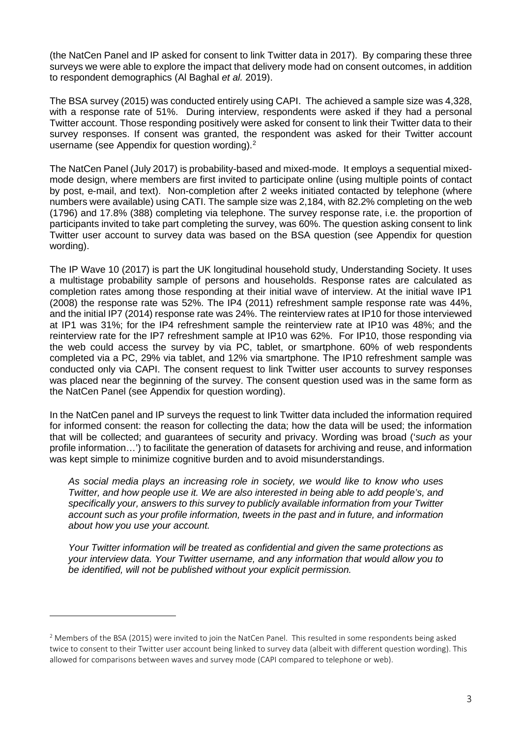(the NatCen Panel and IP asked for consent to link Twitter data in 2017). By comparing these three surveys we were able to explore the impact that delivery mode had on consent outcomes, in addition to respondent demographics (Al Baghal *et al.* 2019).

The BSA survey (2015) was conducted entirely using CAPI. The achieved a sample size was 4,328, with a response rate of 51%. During interview, respondents were asked if they had a personal Twitter account. Those responding positively were asked for consent to link their Twitter data to their survey responses. If consent was granted, the respondent was asked for their Twitter account username (see Appendix for question wording).<sup>[2](#page-2-0)</sup>

The NatCen Panel (July 2017) is probability-based and mixed-mode. It employs a sequential mixedmode design, where members are first invited to participate online (using multiple points of contact by post, e-mail, and text). Non-completion after 2 weeks initiated contacted by telephone (where numbers were available) using CATI. The sample size was 2,184, with 82.2% completing on the web (1796) and 17.8% (388) completing via telephone. The survey response rate, i.e. the proportion of participants invited to take part completing the survey, was 60%. The question asking consent to link Twitter user account to survey data was based on the BSA question (see Appendix for question wording).

The IP Wave 10 (2017) is part the UK longitudinal household study, Understanding Society. It uses a multistage probability sample of persons and households. Response rates are calculated as completion rates among those responding at their initial wave of interview. At the initial wave IP1 (2008) the response rate was 52%. The IP4 (2011) refreshment sample response rate was 44%, and the initial IP7 (2014) response rate was 24%. The reinterview rates at IP10 for those interviewed at IP1 was 31%; for the IP4 refreshment sample the reinterview rate at IP10 was 48%; and the reinterview rate for the IP7 refreshment sample at IP10 was 62%. For IP10, those responding via the web could access the survey by via PC, tablet, or smartphone. 60% of web respondents completed via a PC, 29% via tablet, and 12% via smartphone. The IP10 refreshment sample was conducted only via CAPI. The consent request to link Twitter user accounts to survey responses was placed near the beginning of the survey. The consent question used was in the same form as the NatCen Panel (see Appendix for question wording).

In the NatCen panel and IP surveys the request to link Twitter data included the information required for informed consent: the reason for collecting the data; how the data will be used; the information that will be collected; and guarantees of security and privacy. Wording was broad ('*such as* your profile information…') to facilitate the generation of datasets for archiving and reuse, and information was kept simple to minimize cognitive burden and to avoid misunderstandings.

*As social media plays an increasing role in society, we would like to know who uses Twitter, and how people use it. We are also interested in being able to add people's, and specifically your, answers to this survey to publicly available information from your Twitter account such as your profile information, tweets in the past and in future, and information about how you use your account.* 

*Your Twitter information will be treated as confidential and given the same protections as your interview data. Your Twitter username, and any information that would allow you to be identified, will not be published without your explicit permission.*

<span id="page-2-0"></span><sup>&</sup>lt;sup>2</sup> Members of the BSA (2015) were invited to join the NatCen Panel. This resulted in some respondents being asked twice to consent to their Twitter user account being linked to survey data (albeit with different question wording). This allowed for comparisons between waves and survey mode (CAPI compared to telephone or web).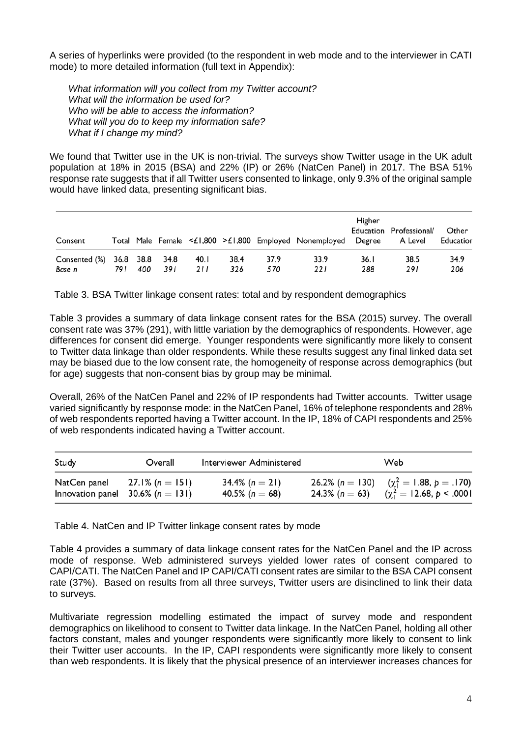A series of hyperlinks were provided (to the respondent in web mode and to the interviewer in CATI mode) to more detailed information (full text in Appendix):

*What information will you collect from my Twitter account? What will the information be used for? Who will be able to access the information? What will you do to keep my information safe? What if I change my mind?*

We found that Twitter use in the UK is non-trivial. The surveys show Twitter usage in the UK adult population at 18% in 2015 (BSA) and 22% (IP) or 26% (NatCen Panel) in 2017. The BSA 51% response rate suggests that if all Twitter users consented to linkage, only 9.3% of the original sample would have linked data, presenting significant bias.

| Consent                 |     |     |                       |             |             |             | Total Male Female <£1,800 >£1,800 Employed Nonemployed Degree | Higher      | Education Professional/<br>A Level | Other<br>Educatior |
|-------------------------|-----|-----|-----------------------|-------------|-------------|-------------|---------------------------------------------------------------|-------------|------------------------------------|--------------------|
| Consented (%)<br>Base n | 791 | 400 | 36.8 38.8 34.8<br>391 | 40.1<br>211 | 38.4<br>326 | 37.9<br>570 | 33.9<br>221                                                   | 36.1<br>288 | 38.5<br>291                        | 34.9<br>206        |

Table 3. BSA Twitter linkage consent rates: total and by respondent demographics

Table 3 provides a summary of data linkage consent rates for the BSA (2015) survey. The overall consent rate was 37% (291), with little variation by the demographics of respondents. However, age differences for consent did emerge. Younger respondents were significantly more likely to consent to Twitter data linkage than older respondents. While these results suggest any final linked data set may be biased due to the low consent rate, the homogeneity of response across demographics (but for age) suggests that non-consent bias by group may be minimal.

Overall, 26% of the NatCen Panel and 22% of IP respondents had Twitter accounts. Twitter usage varied significantly by response mode: in the NatCen Panel, 16% of telephone respondents and 28% of web respondents reported having a Twitter account. In the IP, 18% of CAPI respondents and 25% of web respondents indicated having a Twitter account.

| Study        | Overall                                                 | Interviewer Administered                 |                   | Web                                                                            |
|--------------|---------------------------------------------------------|------------------------------------------|-------------------|--------------------------------------------------------------------------------|
| NatCen panel | 27.1% (n = 151)<br>Innovation panel 30.6% ( $n = 131$ ) | 34.4% ( $n = 21$ )<br>40.5% ( $n = 68$ ) | $24.3\% (n = 63)$ | 26.2% (n = 130) $(\chi^2$ = 1.88, p = .170)<br>$(\chi_1^2 = 12.68, p < .0001)$ |

Table 4. NatCen and IP Twitter linkage consent rates by mode

Table 4 provides a summary of data linkage consent rates for the NatCen Panel and the IP across mode of response. Web administered surveys yielded lower rates of consent compared to CAPI/CATI. The NatCen Panel and IP CAPI/CATI consent rates are similar to the BSA CAPI consent rate (37%). Based on results from all three surveys, Twitter users are disinclined to link their data to surveys.

Multivariate regression modelling estimated the impact of survey mode and respondent demographics on likelihood to consent to Twitter data linkage. In the NatCen Panel, holding all other factors constant, males and younger respondents were significantly more likely to consent to link their Twitter user accounts. In the IP, CAPI respondents were significantly more likely to consent than web respondents. It is likely that the physical presence of an interviewer increases chances for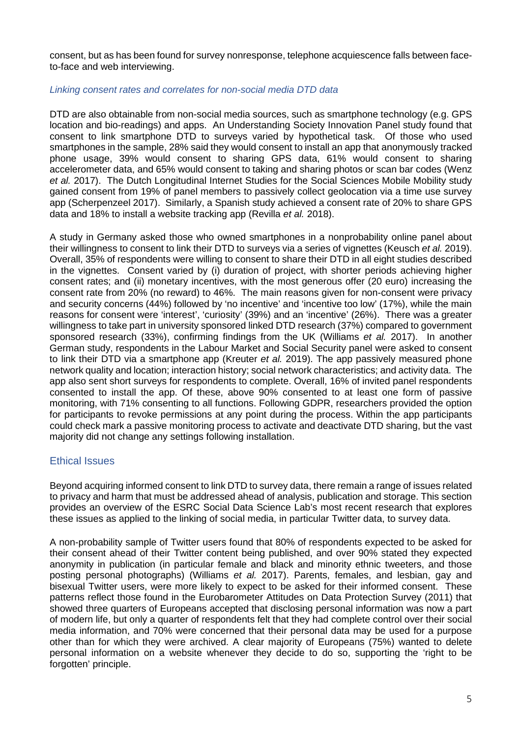consent, but as has been found for survey nonresponse, telephone acquiescence falls between faceto-face and web interviewing.

#### *Linking consent rates and correlates for non-social media DTD data*

DTD are also obtainable from non-social media sources, such as smartphone technology (e.g. GPS location and bio-readings) and apps. An Understanding Society Innovation Panel study found that consent to link smartphone DTD to surveys varied by hypothetical task. Of those who used smartphones in the sample, 28% said they would consent to install an app that anonymously tracked phone usage, 39% would consent to sharing GPS data, 61% would consent to sharing accelerometer data, and 65% would consent to taking and sharing photos or scan bar codes (Wenz *et al.* 2017). The Dutch Longitudinal Internet Studies for the Social Sciences Mobile Mobility study gained consent from 19% of panel members to passively collect geolocation via a time use survey app (Scherpenzeel 2017). Similarly, a Spanish study achieved a consent rate of 20% to share GPS data and 18% to install a website tracking app (Revilla *et al.* 2018).

A study in Germany asked those who owned smartphones in a nonprobability online panel about their willingness to consent to link their DTD to surveys via a series of vignettes (Keusch *et al.* 2019). Overall, 35% of respondents were willing to consent to share their DTD in all eight studies described in the vignettes. Consent varied by (i) duration of project, with shorter periods achieving higher consent rates; and (ii) monetary incentives, with the most generous offer (20 euro) increasing the consent rate from 20% (no reward) to 46%. The main reasons given for non-consent were privacy and security concerns (44%) followed by 'no incentive' and 'incentive too low' (17%), while the main reasons for consent were 'interest', 'curiosity' (39%) and an 'incentive' (26%). There was a greater willingness to take part in university sponsored linked DTD research (37%) compared to government sponsored research (33%), confirming findings from the UK (Williams *et al.* 2017). In another German study, respondents in the Labour Market and Social Security panel were asked to consent to link their DTD via a smartphone app (Kreuter *et al.* 2019). The app passively measured phone network quality and location; interaction history; social network characteristics; and activity data. The app also sent short surveys for respondents to complete. Overall, 16% of invited panel respondents consented to install the app. Of these, above 90% consented to at least one form of passive monitoring, with 71% consenting to all functions. Following GDPR, researchers provided the option for participants to revoke permissions at any point during the process. Within the app participants could check mark a passive monitoring process to activate and deactivate DTD sharing, but the vast majority did not change any settings following installation.

#### Ethical Issues

Beyond acquiring informed consent to link DTD to survey data, there remain a range of issues related to privacy and harm that must be addressed ahead of analysis, publication and storage. This section provides an overview of the ESRC Social Data Science Lab's most recent research that explores these issues as applied to the linking of social media, in particular Twitter data, to survey data.

A non-probability sample of Twitter users found that 80% of respondents expected to be asked for their consent ahead of their Twitter content being published, and over 90% stated they expected anonymity in publication (in particular female and black and minority ethnic tweeters, and those posting personal photographs) (Williams *et al.* 2017). Parents, females, and lesbian, gay and bisexual Twitter users, were more likely to expect to be asked for their informed consent. These patterns reflect those found in the Eurobarometer Attitudes on Data Protection Survey (2011) that showed three quarters of Europeans accepted that disclosing personal information was now a part of modern life, but only a quarter of respondents felt that they had complete control over their social media information, and 70% were concerned that their personal data may be used for a purpose other than for which they were archived. A clear majority of Europeans (75%) wanted to delete personal information on a website whenever they decide to do so, supporting the 'right to be forgotten' principle.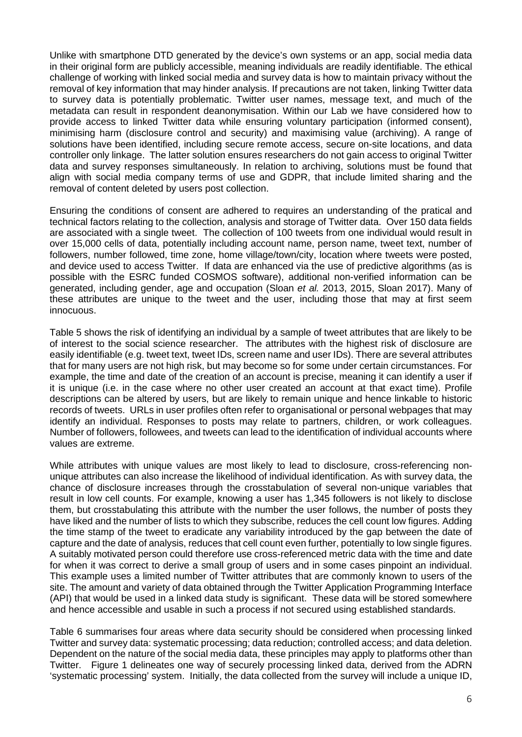Unlike with smartphone DTD generated by the device's own systems or an app, social media data in their original form are publicly accessible, meaning individuals are readily identifiable. The ethical challenge of working with linked social media and survey data is how to maintain privacy without the removal of key information that may hinder analysis. If precautions are not taken, linking Twitter data to survey data is potentially problematic. Twitter user names, message text, and much of the metadata can result in respondent deanonymisation. Within our Lab we have considered how to provide access to linked Twitter data while ensuring voluntary participation (informed consent), minimising harm (disclosure control and security) and maximising value (archiving). A range of solutions have been identified, including secure remote access, secure on-site locations, and data controller only linkage. The latter solution ensures researchers do not gain access to original Twitter data and survey responses simultaneously. In relation to archiving, solutions must be found that align with social media company terms of use and GDPR, that include limited sharing and the removal of content deleted by users post collection.

Ensuring the conditions of consent are adhered to requires an understanding of the pratical and technical factors relating to the collection, analysis and storage of Twitter data. Over 150 data fields are associated with a single tweet. The collection of 100 tweets from one individual would result in over 15,000 cells of data, potentially including account name, person name, tweet text, number of followers, number followed, time zone, home village/town/city, location where tweets were posted, and device used to access Twitter. If data are enhanced via the use of predictive algorithms (as is possible with the ESRC funded COSMOS software), additional non-verified information can be generated, including gender, age and occupation (Sloan *et al.* 2013, 2015, Sloan 2017). Many of these attributes are unique to the tweet and the user, including those that may at first seem innocuous.

Table 5 shows the risk of identifying an individual by a sample of tweet attributes that are likely to be of interest to the social science researcher. The attributes with the highest risk of disclosure are easily identifiable (e.g. tweet text, tweet IDs, screen name and user IDs). There are several attributes that for many users are not high risk, but may become so for some under certain circumstances. For example, the time and date of the creation of an account is precise, meaning it can identify a user if it is unique (i.e. in the case where no other user created an account at that exact time). Profile descriptions can be altered by users, but are likely to remain unique and hence linkable to historic records of tweets. URLs in user profiles often refer to organisational or personal webpages that may identify an individual. Responses to posts may relate to partners, children, or work colleagues. Number of followers, followees, and tweets can lead to the identification of individual accounts where values are extreme.

While attributes with unique values are most likely to lead to disclosure, cross-referencing nonunique attributes can also increase the likelihood of individual identification. As with survey data, the chance of disclosure increases through the crosstabulation of several non-unique variables that result in low cell counts. For example, knowing a user has 1,345 followers is not likely to disclose them, but crosstabulating this attribute with the number the user follows, the number of posts they have liked and the number of lists to which they subscribe, reduces the cell count low figures. Adding the time stamp of the tweet to eradicate any variability introduced by the gap between the date of capture and the date of analysis, reduces that cell count even further, potentially to low single figures. A suitably motivated person could therefore use cross-referenced metric data with the time and date for when it was correct to derive a small group of users and in some cases pinpoint an individual. This example uses a limited number of Twitter attributes that are commonly known to users of the site. The amount and variety of data obtained through the Twitter Application Programming Interface (API) that would be used in a linked data study is significant. These data will be stored somewhere and hence accessible and usable in such a process if not secured using established standards.

Table 6 summarises four areas where data security should be considered when processing linked Twitter and survey data: systematic processing; data reduction; controlled access; and data deletion. Dependent on the nature of the social media data, these principles may apply to platforms other than Twitter. Figure 1 delineates one way of securely processing linked data, derived from the ADRN 'systematic processing' system. Initially, the data collected from the survey will include a unique ID,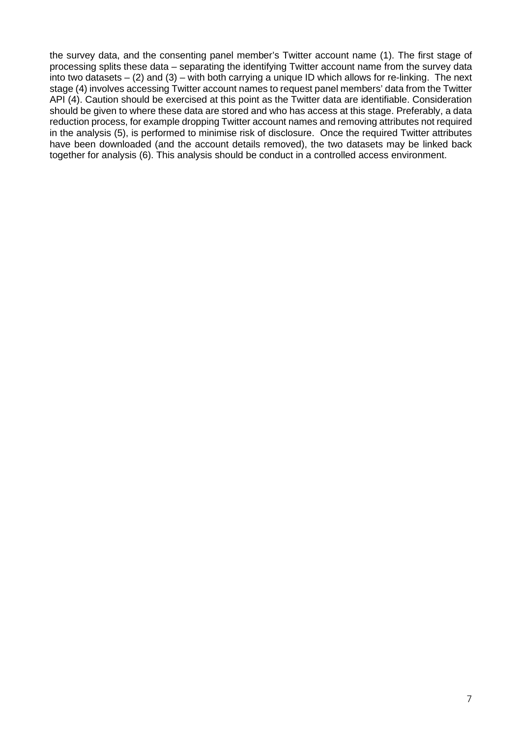the survey data, and the consenting panel member's Twitter account name (1). The first stage of processing splits these data – separating the identifying Twitter account name from the survey data into two datasets – (2) and (3) – with both carrying a unique ID which allows for re-linking. The next stage (4) involves accessing Twitter account names to request panel members' data from the Twitter API (4). Caution should be exercised at this point as the Twitter data are identifiable. Consideration should be given to where these data are stored and who has access at this stage. Preferably, a data reduction process, for example dropping Twitter account names and removing attributes not required in the analysis (5), is performed to minimise risk of disclosure. Once the required Twitter attributes have been downloaded (and the account details removed), the two datasets may be linked back together for analysis (6). This analysis should be conduct in a controlled access environment.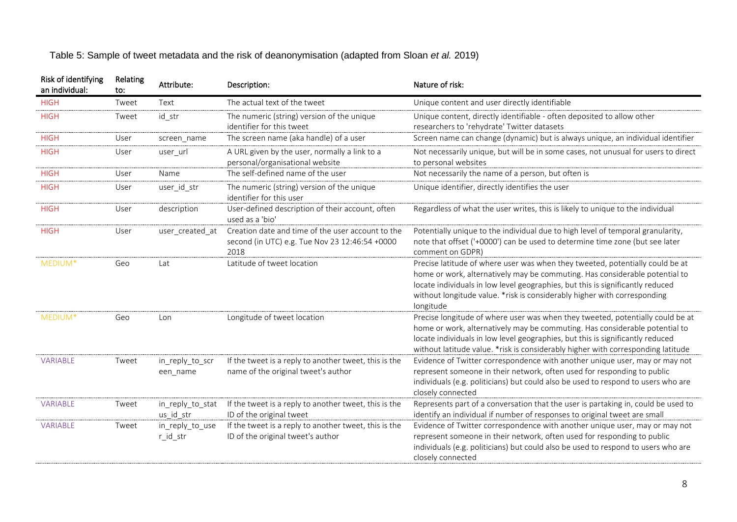| Table 5: Sample of tweet metadata and the risk of deanonymisation (adapted from Sloan et al. 2019) |  |  |  |
|----------------------------------------------------------------------------------------------------|--|--|--|
|----------------------------------------------------------------------------------------------------|--|--|--|

| Risk of identifying<br>an individual: | Relating<br>to: | Attribute:                    | Description:                                                                                                | Nature of risk:                                                                                                                                                                                                                                                                                                                          |
|---------------------------------------|-----------------|-------------------------------|-------------------------------------------------------------------------------------------------------------|------------------------------------------------------------------------------------------------------------------------------------------------------------------------------------------------------------------------------------------------------------------------------------------------------------------------------------------|
| <b>HIGH</b>                           | Tweet           | Text                          | The actual text of the tweet                                                                                | Unique content and user directly identifiable                                                                                                                                                                                                                                                                                            |
| <b>HIGH</b>                           | Tweet           | id str                        | The numeric (string) version of the unique<br>identifier for this tweet                                     | Unique content, directly identifiable - often deposited to allow other<br>researchers to 'rehydrate' Twitter datasets                                                                                                                                                                                                                    |
| <b>HIGH</b>                           | User            | screen name                   | The screen name (aka handle) of a user                                                                      | Screen name can change (dynamic) but is always unique, an individual identifier                                                                                                                                                                                                                                                          |
| <b>HIGH</b>                           | User            | user_url                      | A URL given by the user, normally a link to a<br>personal/organisational website                            | Not necessarily unique, but will be in some cases, not unusual for users to direct<br>to personal websites                                                                                                                                                                                                                               |
| <b>HIGH</b>                           | User            | Name                          | The self-defined name of the user                                                                           | Not necessarily the name of a person, but often is                                                                                                                                                                                                                                                                                       |
| <b>HIGH</b>                           | User            | user_id_str                   | The numeric (string) version of the unique<br>identifier for this user                                      | Unique identifier, directly identifies the user                                                                                                                                                                                                                                                                                          |
| <b>HIGH</b>                           | User            | description                   | User-defined description of their account, often<br>used as a 'bio'                                         | Regardless of what the user writes, this is likely to unique to the individual                                                                                                                                                                                                                                                           |
| <b>HIGH</b>                           | User            | user created at               | Creation date and time of the user account to the<br>second (in UTC) e.g. Tue Nov 23 12:46:54 +0000<br>2018 | Potentially unique to the individual due to high level of temporal granularity,<br>note that offset ('+0000') can be used to determine time zone (but see later<br>comment on GDPR)                                                                                                                                                      |
| MEDIUM*                               | Geo             | Lat                           | Latitude of tweet location                                                                                  | Precise latitude of where user was when they tweeted, potentially could be at<br>home or work, alternatively may be commuting. Has considerable potential to<br>locate individuals in low level geographies, but this is significantly reduced<br>without longitude value. * risk is considerably higher with corresponding<br>longitude |
| MEDIUM*                               | Geo             | Lon                           | Longitude of tweet location                                                                                 | Precise longitude of where user was when they tweeted, potentially could be at<br>home or work, alternatively may be commuting. Has considerable potential to<br>locate individuals in low level geographies, but this is significantly reduced<br>without latitude value. *risk is considerably higher with corresponding latitude      |
| <b>VARIABLE</b>                       | Tweet           | in_reply_to_scr<br>een_name   | If the tweet is a reply to another tweet, this is the<br>name of the original tweet's author                | Evidence of Twitter correspondence with another unique user, may or may not<br>represent someone in their network, often used for responding to public<br>individuals (e.g. politicians) but could also be used to respond to users who are<br>closely connected                                                                         |
| <b>VARIABLE</b>                       | Tweet           | in_reply_to_stat<br>us_id_str | If the tweet is a reply to another tweet, this is the<br>ID of the original tweet                           | Represents part of a conversation that the user is partaking in, could be used to<br>identify an individual if number of responses to original tweet are small                                                                                                                                                                           |
| <b>VARIABLE</b>                       | Tweet           | in_reply_to_use<br>r_id_str   | If the tweet is a reply to another tweet, this is the<br>ID of the original tweet's author                  | Evidence of Twitter correspondence with another unique user, may or may not<br>represent someone in their network, often used for responding to public<br>individuals (e.g. politicians) but could also be used to respond to users who are<br>closely connected                                                                         |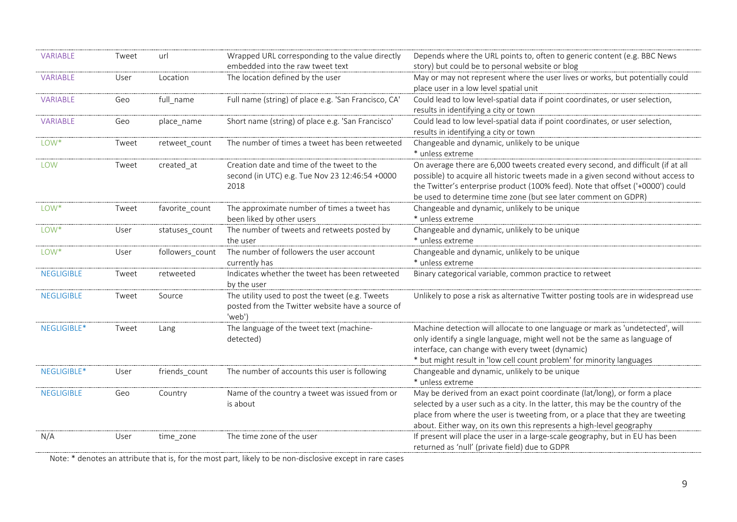| <b>VARIABLE</b>   | Tweet | url             | Wrapped URL corresponding to the value directly      | Depends where the URL points to, often to generic content (e.g. BBC News           |
|-------------------|-------|-----------------|------------------------------------------------------|------------------------------------------------------------------------------------|
|                   |       |                 | embedded into the raw tweet text                     | story) but could be to personal website or blog                                    |
| VARIABLE          | User  | Location        | The location defined by the user                     | May or may not represent where the user lives or works, but potentially could      |
|                   |       |                 |                                                      | place user in a low level spatial unit                                             |
| VARIABLE          | Geo   | full name       | Full name (string) of place e.g. 'San Francisco, CA' | Could lead to low level-spatial data if point coordinates, or user selection,      |
|                   |       |                 |                                                      | results in identifying a city or town                                              |
| VARIABLE          | Geo   | place name      | Short name (string) of place e.g. 'San Francisco'    | Could lead to low level-spatial data if point coordinates, or user selection,      |
|                   |       |                 |                                                      | results in identifying a city or town                                              |
| LOW <sup>*</sup>  | Tweet | retweet count   | The number of times a tweet has been retweeted       | Changeable and dynamic, unlikely to be unique                                      |
|                   |       |                 |                                                      | * unless extreme                                                                   |
| <b>LOW</b>        | Tweet | created at      | Creation date and time of the tweet to the           | On average there are 6,000 tweets created every second, and difficult (if at all   |
|                   |       |                 | second (in UTC) e.g. Tue Nov 23 12:46:54 +0000       | possible) to acquire all historic tweets made in a given second without access to  |
|                   |       |                 | 2018                                                 | the Twitter's enterprise product (100% feed). Note that offset ('+0000') could     |
|                   |       |                 |                                                      | be used to determine time zone (but see later comment on GDPR)                     |
| LOW*              | Tweet | favorite count  | The approximate number of times a tweet has          | Changeable and dynamic, unlikely to be unique                                      |
|                   |       |                 | been liked by other users                            | * unless extreme                                                                   |
| LOW <sup>*</sup>  | User  | statuses_count  | The number of tweets and retweets posted by          | Changeable and dynamic, unlikely to be unique                                      |
|                   |       |                 | the user                                             | * unless extreme                                                                   |
| LOW <sup>*</sup>  | User  | followers_count | The number of followers the user account             | Changeable and dynamic, unlikely to be unique                                      |
|                   |       |                 | currently has                                        | * unless extreme                                                                   |
| <b>NEGLIGIBLE</b> | Tweet | retweeted       | Indicates whether the tweet has been retweeted       | Binary categorical variable, common practice to retweet                            |
|                   |       |                 | by the user                                          |                                                                                    |
| <b>NEGLIGIBLE</b> | Tweet | Source          | The utility used to post the tweet (e.g. Tweets      | Unlikely to pose a risk as alternative Twitter posting tools are in widespread use |
|                   |       |                 | posted from the Twitter website have a source of     |                                                                                    |
|                   |       |                 | 'web')                                               |                                                                                    |
| NEGLIGIBLE*       | Tweet | Lang            | The language of the tweet text (machine-             | Machine detection will allocate to one language or mark as 'undetected', will      |
|                   |       |                 | detected)                                            | only identify a single language, might well not be the same as language of         |
|                   |       |                 |                                                      | interface, can change with every tweet (dynamic)                                   |
|                   |       |                 |                                                      | * but might result in 'low cell count problem' for minority languages              |
| NEGLIGIBLE*       | User  | friends_count   | The number of accounts this user is following        | Changeable and dynamic, unlikely to be unique                                      |
|                   |       |                 |                                                      | * unless extreme                                                                   |
| <b>NEGLIGIBLE</b> | Geo   | Country         | Name of the country a tweet was issued from or       | May be derived from an exact point coordinate (lat/long), or form a place          |
|                   |       |                 | is about                                             | selected by a user such as a city. In the latter, this may be the country of the   |
|                   |       |                 |                                                      | place from where the user is tweeting from, or a place that they are tweeting      |
|                   |       |                 |                                                      | about. Either way, on its own this represents a high-level geography               |
| N/A               | User  | time zone       | The time zone of the user                            | If present will place the user in a large-scale geography, but in EU has been      |
|                   |       |                 |                                                      | returned as 'null' (private field) due to GDPR                                     |

Note: \* denotes an attribute that is, for the most part, likely to be non-disclosive except in rare cases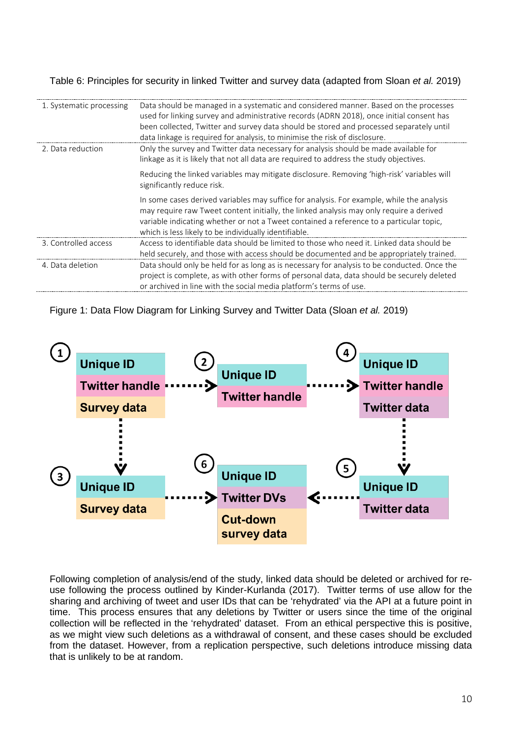Table 6: Principles for security in linked Twitter and survey data (adapted from Sloan *et al.* 2019)

| 1. Systematic processing | Data should be managed in a systematic and considered manner. Based on the processes<br>used for linking survey and administrative records (ADRN 2018), once initial consent has<br>been collected, Twitter and survey data should be stored and processed separately until<br>data linkage is required for analysis, to minimise the risk of disclosure. |
|--------------------------|-----------------------------------------------------------------------------------------------------------------------------------------------------------------------------------------------------------------------------------------------------------------------------------------------------------------------------------------------------------|
| 2. Data reduction        | Only the survey and Twitter data necessary for analysis should be made available for<br>linkage as it is likely that not all data are required to address the study objectives.                                                                                                                                                                           |
|                          | Reducing the linked variables may mitigate disclosure. Removing 'high-risk' variables will<br>significantly reduce risk.                                                                                                                                                                                                                                  |
|                          | In some cases derived variables may suffice for analysis. For example, while the analysis<br>may require raw Tweet content initially, the linked analysis may only require a derived<br>variable indicating whether or not a Tweet contained a reference to a particular topic,<br>which is less likely to be individually identifiable.                  |
| 3. Controlled access     | Access to identifiable data should be limited to those who need it. Linked data should be<br>held securely, and those with access should be documented and be appropriately trained.                                                                                                                                                                      |
| 4. Data deletion         | Data should only be held for as long as is necessary for analysis to be conducted. Once the<br>project is complete, as with other forms of personal data, data should be securely deleted<br>or archived in line with the social media platform's terms of use.                                                                                           |

Figure 1: Data Flow Diagram for Linking Survey and Twitter Data (Sloan *et al.* 2019)



Following completion of analysis/end of the study, linked data should be deleted or archived for reuse following the process outlined by Kinder-Kurlanda (2017). Twitter terms of use allow for the sharing and archiving of tweet and user IDs that can be 'rehydrated' via the API at a future point in time. This process ensures that any deletions by Twitter or users since the time of the original collection will be reflected in the 'rehydrated' dataset. From an ethical perspective this is positive, as we might view such deletions as a withdrawal of consent, and these cases should be excluded from the dataset. However, from a replication perspective, such deletions introduce missing data that is unlikely to be at random.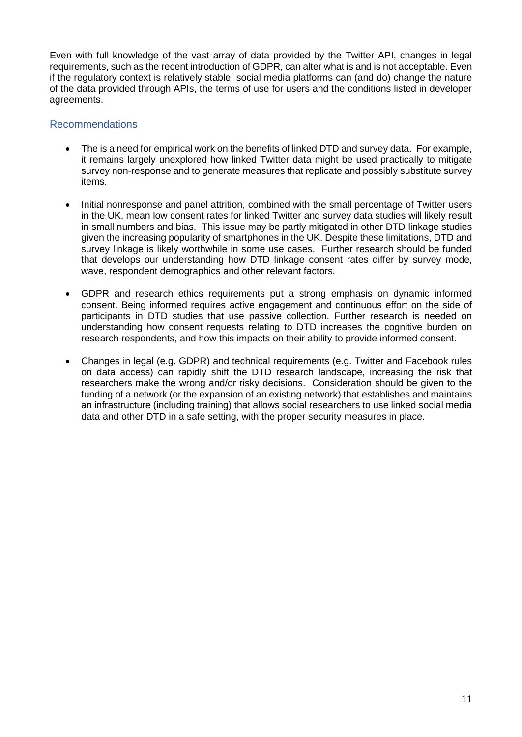Even with full knowledge of the vast array of data provided by the Twitter API, changes in legal requirements, such as the recent introduction of GDPR, can alter what is and is not acceptable. Even if the regulatory context is relatively stable, social media platforms can (and do) change the nature of the data provided through APIs, the terms of use for users and the conditions listed in developer agreements.

# Recommendations

- The is a need for empirical work on the benefits of linked DTD and survey data. For example, it remains largely unexplored how linked Twitter data might be used practically to mitigate survey non-response and to generate measures that replicate and possibly substitute survey items.
- Initial nonresponse and panel attrition, combined with the small percentage of Twitter users in the UK, mean low consent rates for linked Twitter and survey data studies will likely result in small numbers and bias. This issue may be partly mitigated in other DTD linkage studies given the increasing popularity of smartphones in the UK. Despite these limitations, DTD and survey linkage is likely worthwhile in some use cases. Further research should be funded that develops our understanding how DTD linkage consent rates differ by survey mode, wave, respondent demographics and other relevant factors.
- GDPR and research ethics requirements put a strong emphasis on dynamic informed consent. Being informed requires active engagement and continuous effort on the side of participants in DTD studies that use passive collection. Further research is needed on understanding how consent requests relating to DTD increases the cognitive burden on research respondents, and how this impacts on their ability to provide informed consent.
- Changes in legal (e.g. GDPR) and technical requirements (e.g. Twitter and Facebook rules on data access) can rapidly shift the DTD research landscape, increasing the risk that researchers make the wrong and/or risky decisions. Consideration should be given to the funding of a network (or the expansion of an existing network) that establishes and maintains an infrastructure (including training) that allows social researchers to use linked social media data and other DTD in a safe setting, with the proper security measures in place.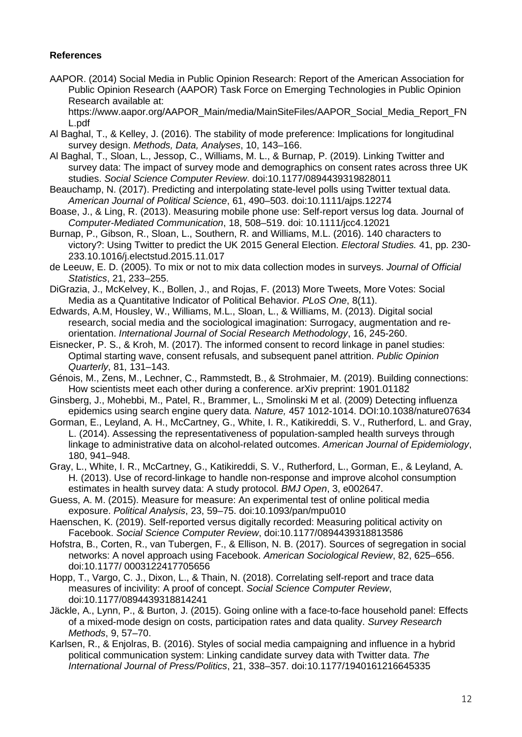#### **References**

AAPOR. (2014) Social Media in Public Opinion Research: Report of the American Association for Public Opinion Research (AAPOR) Task Force on Emerging Technologies in Public Opinion Research available at:

[https://www.aapor.org/AAPOR\\_Main/media/MainSiteFiles/AAPOR\\_Social\\_Media\\_Report\\_FN](https://www.aapor.org/AAPOR_Main/media/MainSiteFiles/AAPOR_Social_Media_Report_FNL.pdf) [L.pdf](https://www.aapor.org/AAPOR_Main/media/MainSiteFiles/AAPOR_Social_Media_Report_FNL.pdf)

- Al Baghal, T., & Kelley, J. (2016). The stability of mode preference: Implications for longitudinal survey design. *Methods, Data, Analyses*, 10, 143–166.
- Al Baghal, T., Sloan, L., Jessop, C., Williams, M. L., & Burnap, P. (2019). Linking Twitter and survey data: The impact of survey mode and demographics on consent rates across three UK studies. *Social Science Computer Review*. doi:10.1177/0894439319828011
- Beauchamp, N. (2017). Predicting and interpolating state-level polls using Twitter textual data. *American Journal of Political Science*, 61, 490–503. doi:10.1111/ajps.12274
- Boase, J., & Ling, R. (2013). Measuring mobile phone use: Self-report versus log data. Journal of *Computer-Mediated Communication*, 18, 508–519. doi: 10.1111/jcc4.12021
- Burnap, P., Gibson, R., Sloan, L., Southern, R. and Williams, M.L. (2016). 140 characters to victory?: Using Twitter to predict the UK 2015 General Election. *Electoral Studies.* 41, pp. 230- 233.10.1016/j.electstud.2015.11.017
- de Leeuw, E. D. (2005). To mix or not to mix data collection modes in surveys. *Journal of Official Statistics*, 21, 233–255.
- DiGrazia, J., McKelvey, K., Bollen, J., and Rojas, F. (2013) More Tweets, More Votes: Social Media as a Quantitative Indicator of Political Behavior. *PLoS One*, 8(11).
- Edwards, A.M, Housley, W., Williams, M.L., Sloan, L., & Williams, M. (2013). Digital social research, social media and the sociological imagination: Surrogacy, augmentation and reorientation. *International Journal of Social Research Methodology*, 16, 245-260.
- Eisnecker, P. S., & Kroh, M. (2017). The informed consent to record linkage in panel studies: Optimal starting wave, consent refusals, and subsequent panel attrition. *Public Opinion Quarterly*, 81, 131–143.
- Génois, M., Zens, M., Lechner, C., Rammstedt, B., & Strohmaier, M. (2019). Building connections: How scientists meet each other during a conference. arXiv preprint: 1901.01182
- Ginsberg, J., Mohebbi, M., Patel, R., Brammer, L., Smolinski M et al. (2009) Detecting influenza epidemics using search engine query data. *Nature,* 457 1012-1014. DOI:10.1038/nature07634
- Gorman, E., Leyland, A. H., McCartney, G., White, I. R., Katikireddi, S. V., Rutherford, L. and Gray, L. (2014). Assessing the representativeness of population-sampled health surveys through linkage to administrative data on alcohol-related outcomes. *American Journal of Epidemiology*, 180, 941–948.
- Gray, L., White, I. R., McCartney, G., Katikireddi, S. V., Rutherford, L., Gorman, E., & Leyland, A. H. (2013). Use of record-linkage to handle non-response and improve alcohol consumption estimates in health survey data: A study protocol. *BMJ Open*, 3, e002647.
- Guess, A. M. (2015). Measure for measure: An experimental test of online political media exposure. *Political Analysis*, 23, 59–75. doi:10.1093/pan/mpu010
- Haenschen, K. (2019). Self-reported versus digitally recorded: Measuring political activity on Facebook. *Social Science Computer Review*, doi:10.1177/0894439318813586
- Hofstra, B., Corten, R., van Tubergen, F., & Ellison, N. B. (2017). Sources of segregation in social networks: A novel approach using Facebook. *American Sociological Review*, 82, 625–656. doi:10.1177/ 0003122417705656
- Hopp, T., Vargo, C. J., Dixon, L., & Thain, N. (2018). Correlating self-report and trace data measures of incivility: A proof of concept. *Social Science Computer Review*, doi:10.1177/0894439318814241
- Jäckle, A., Lynn, P., & Burton, J. (2015). Going online with a face-to-face household panel: Effects of a mixed-mode design on costs, participation rates and data quality. *Survey Research Methods*, 9, 57–70.
- Karlsen, R., & Enjolras, B. (2016). Styles of social media campaigning and influence in a hybrid political communication system: Linking candidate survey data with Twitter data. *The International Journal of Press/Politics*, 21, 338–357. doi:10.1177/1940161216645335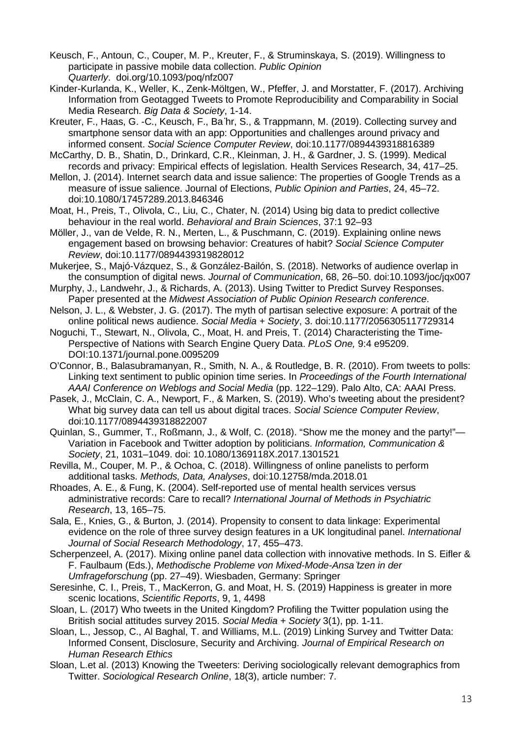Keusch, F., Antoun, C., Couper, M. P., Kreuter, F., & Struminskaya, S. (2019). Willingness to participate in passive mobile data collection. *Public Opinion Quarterly*. doi.org/10.1093/poq/nfz007

Kinder-Kurlanda, K., Weller, K., Zenk-Möltgen, W., Pfeffer, J. and Morstatter, F. (2017). Archiving Information from Geotagged Tweets to Promote Reproducibility and Comparability in Social Media Research. *Big Data & Society*, 1-14.

Kreuter, F., Haas, G. -C., Keusch, F., Ba ̈hr, S., & Trappmann, M. (2019). Collecting survey and smartphone sensor data with an app: Opportunities and challenges around privacy and informed consent. *Social Science Computer Review*, doi:10.1177/0894439318816389

McCarthy, D. B., Shatin, D., Drinkard, C.R., Kleinman, J. H., & Gardner, J. S. (1999). Medical records and privacy: Empirical effects of legislation. Health Services Research, 34, 417–25.

Mellon, J. (2014). Internet search data and issue salience: The properties of Google Trends as a measure of issue salience. Journal of Elections, *Public Opinion and Parties*, 24, 45–72. doi:10.1080/17457289.2013.846346

Moat, H., Preis, T., Olivola, C., Liu, C., Chater, N. (2014) Using big data to predict collective behaviour in the real world. *Behavioral and Brain Sciences*, 37:1 92–93

Möller, J., van de Velde, R. N., Merten, L., & Puschmann, C. (2019). Explaining online news engagement based on browsing behavior: Creatures of habit? *Social Science Computer Review*, doi:10.1177/0894439319828012

Mukerjee, S., Majó-Vázquez, S., & González-Bailón, S. (2018). Networks of audience overlap in the consumption of digital news. *Journal of Communication*, 68, 26–50. doi:10.1093/joc/jqx007

Murphy, J., Landwehr, J., & Richards, A. (2013). Using Twitter to Predict Survey Responses. Paper presented at the *Midwest Association of Public Opinion Research conference*.

Nelson, J. L., & Webster, J. G. (2017). The myth of partisan selective exposure: A portrait of the online political news audience. *Social Media + Society*, 3. doi:10.1177/2056305117729314

Noguchi, T., Stewart, N., Olivola, C., Moat, H. and Preis, T. (2014) Characteristing the Time-Perspective of Nations with Search Engine Query Data. *PLoS One,* 9:4 e95209. DOI:10.1371/journal.pone.0095209

O'Connor, B., Balasubramanyan, R., Smith, N. A., & Routledge, B. R. (2010). From tweets to polls: Linking text sentiment to public opinion time series. In *Proceedings of the Fourth International AAAI Conference on Weblogs and Social Media* (pp. 122–129). Palo Alto, CA: AAAI Press.

Pasek, J., McClain, C. A., Newport, F., & Marken, S. (2019). Who's tweeting about the president? What big survey data can tell us about digital traces. *Social Science Computer Review*, doi:10.1177/0894439318822007

Quinlan, S., Gummer, T., Roßmann, J., & Wolf, C. (2018). "Show me the money and the party!"— Variation in Facebook and Twitter adoption by politicians. *Information, Communication & Society*, 21, 1031–1049. doi: 10.1080/1369118X.2017.1301521

Revilla, M., Couper, M. P., & Ochoa, C. (2018). Willingness of online panelists to perform additional tasks. *Methods, Data, Analyses*, doi:10.12758/mda.2018.01

Rhoades, A. E., & Fung, K. (2004). Self-reported use of mental health services versus administrative records: Care to recall? *International Journal of Methods in Psychiatric Research*, 13, 165–75.

Sala, E., Knies, G., & Burton, J. (2014). Propensity to consent to data linkage: Experimental evidence on the role of three survey design features in a UK longitudinal panel. *International Journal of Social Research Methodology*, 17, 455–473.

Scherpenzeel, A. (2017). Mixing online panel data collection with innovative methods. In S. Eifler & F. Faulbaum (Eds.), *Methodische Probleme von Mixed-Mode-Ansa ̈tzen in der Umfrageforschung* (pp. 27–49). Wiesbaden, Germany: Springer

Seresinhe, C. I., Preis, T., MacKerron, G. and Moat, H. S. (2019) Happiness is greater in more scenic locations, *Scientific Reports*, 9, 1, 4498

Sloan, L. (2017) Who tweets in the United Kingdom? Profiling the Twitter population using the British social attitudes survey 2015. *Social Media + Society* 3(1), pp. 1-11.

Sloan, L., Jessop, C., Al Baghal, T. and Williams, M.L. (2019) Linking Survey and Twitter Data: Informed Consent, Disclosure, Security and Archiving. *Journal of Empirical Research on Human Research Ethics*

Sloan, L.et al. (2013) Knowing the Tweeters: Deriving sociologically relevant demographics from Twitter. *Sociological Research Online*, 18(3), article number: 7.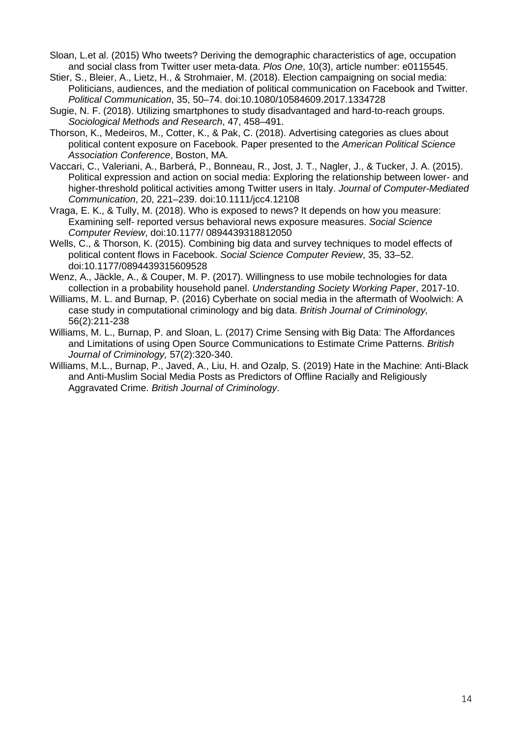- Sloan, L.et al. (2015) Who tweets? Deriving the demographic characteristics of age, occupation and social class from Twitter user meta-data. *Plos One*, 10(3), article number: e0115545.
- Stier, S., Bleier, A., Lietz, H., & Strohmaier, M. (2018). Election campaigning on social media: Politicians, audiences, and the mediation of political communication on Facebook and Twitter. *Political Communication*, 35, 50–74. doi:10.1080/10584609.2017.1334728
- Sugie, N. F. (2018). Utilizing smartphones to study disadvantaged and hard-to-reach groups. *Sociological Methods and Research*, 47, 458–491.
- Thorson, K., Medeiros, M., Cotter, K., & Pak, C. (2018). Advertising categories as clues about political content exposure on Facebook. Paper presented to the *American Political Science Association Conference*, Boston, MA.
- Vaccari, C., Valeriani, A., Barberá, P., Bonneau, R., Jost, J. T., Nagler, J., & Tucker, J. A. (2015). Political expression and action on social media: Exploring the relationship between lower- and higher-threshold political activities among Twitter users in Italy. *Journal of Computer-Mediated Communication*, 20, 221–239. doi:10.1111/jcc4.12108
- Vraga, E. K., & Tully, M. (2018). Who is exposed to news? It depends on how you measure: Examining self- reported versus behavioral news exposure measures. *Social Science Computer Review*, doi:10.1177/ 0894439318812050
- Wells, C., & Thorson, K. (2015). Combining big data and survey techniques to model effects of political content flows in Facebook. *Social Science Computer Review*, 35, 33–52. doi:10.1177/0894439315609528
- Wenz, A., Jäckle, A., & Couper, M. P. (2017). Willingness to use mobile technologies for data collection in a probability household panel. *Understanding Society Working Paper*, 2017-10.
- Williams, M. L. and Burnap, P. (2016) Cyberhate on social media in the aftermath of Woolwich: A case study in computational criminology and big data. *British Journal of Criminology,* 56(2):211-238
- Williams, M. L., Burnap, P. and Sloan, L. (2017) Crime Sensing with Big Data: The Affordances and Limitations of using Open Source Communications to Estimate Crime Patterns. *British Journal of Criminology,* 57(2):320-340.
- Williams, M.L., Burnap, P., Javed, A., Liu, H. and Ozalp, S. (2019) Hate in the Machine: Anti-Black and Anti-Muslim Social Media Posts as Predictors of Offline Racially and Religiously Aggravated Crime. *British Journal of Criminology*.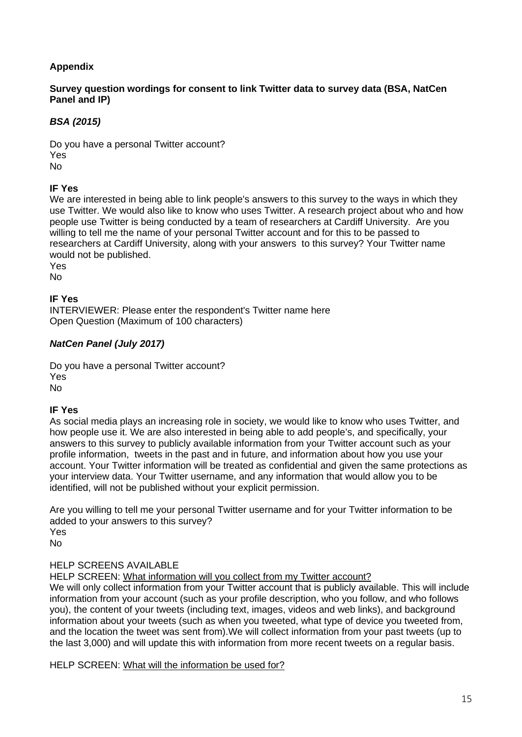# **Appendix**

## **Survey question wordings for consent to link Twitter data to survey data (BSA, NatCen Panel and IP)**

# *BSA (2015)*

Do you have a personal Twitter account? Yes No

## **IF Yes**

We are interested in being able to link people's answers to this survey to the ways in which they use Twitter. We would also like to know who uses Twitter. A research project about who and how people use Twitter is being conducted by a team of researchers at Cardiff University. Are you willing to tell me the name of your personal Twitter account and for this to be passed to researchers at Cardiff University, along with your answers to this survey? Your Twitter name would not be published.

Yes

No

## **IF Yes**

INTERVIEWER: Please enter the respondent's Twitter name here Open Question (Maximum of 100 characters)

## *NatCen Panel (July 2017)*

Do you have a personal Twitter account? Yes No

#### **IF Yes**

As social media plays an increasing role in society, we would like to know who uses Twitter, and how people use it. We are also interested in being able to add people's, and specifically, your answers to this survey to publicly available information from your Twitter account such as your profile information, tweets in the past and in future, and information about how you use your account. Your Twitter information will be treated as confidential and given the same protections as your interview data. Your Twitter username, and any information that would allow you to be identified, will not be published without your explicit permission.

Are you willing to tell me your personal Twitter username and for your Twitter information to be added to your answers to this survey?

Yes

No

## HELP SCREENS AVAILABLE

HELP SCREEN: What information will you collect from my Twitter account?

We will only collect information from your Twitter account that is publicly available. This will include information from your account (such as your profile description, who you follow, and who follows you), the content of your tweets (including text, images, videos and web links), and background information about your tweets (such as when you tweeted, what type of device you tweeted from, and the location the tweet was sent from).We will collect information from your past tweets (up to the last 3,000) and will update this with information from more recent tweets on a regular basis.

HELP SCREEN: What will the information be used for?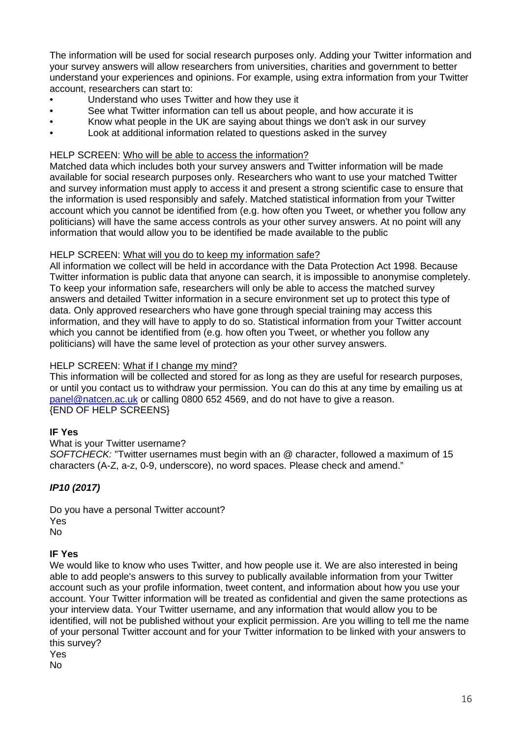The information will be used for social research purposes only. Adding your Twitter information and your survey answers will allow researchers from universities, charities and government to better understand your experiences and opinions. For example, using extra information from your Twitter account, researchers can start to:

- Understand who uses Twitter and how they use it
- See what Twitter information can tell us about people, and how accurate it is
- Know what people in the UK are saying about things we don't ask in our survey
- Look at additional information related to questions asked in the survey

#### HELP SCREEN: Who will be able to access the information?

Matched data which includes both your survey answers and Twitter information will be made available for social research purposes only. Researchers who want to use your matched Twitter and survey information must apply to access it and present a strong scientific case to ensure that the information is used responsibly and safely. Matched statistical information from your Twitter account which you cannot be identified from (e.g. how often you Tweet, or whether you follow any politicians) will have the same access controls as your other survey answers. At no point will any information that would allow you to be identified be made available to the public

#### HELP SCREEN: What will you do to keep my information safe?

All information we collect will be held in accordance with the Data Protection Act 1998. Because Twitter information is public data that anyone can search, it is impossible to anonymise completely. To keep your information safe, researchers will only be able to access the matched survey answers and detailed Twitter information in a secure environment set up to protect this type of data. Only approved researchers who have gone through special training may access this information, and they will have to apply to do so. Statistical information from your Twitter account which you cannot be identified from (e.g. how often you Tweet, or whether you follow any politicians) will have the same level of protection as your other survey answers.

#### HELP SCREEN: What if I change my mind?

This information will be collected and stored for as long as they are useful for research purposes, or until you contact us to withdraw your permission. You can do this at any time by emailing us at [panel@natcen.ac.uk](mailto:panel@natcen.ac.uk) or calling 0800 652 4569, and do not have to give a reason. {END OF HELP SCREENS}

#### **IF Yes**

#### What is your Twitter username?

*SOFTCHECK:* "Twitter usernames must begin with an @ character, followed a maximum of 15 characters (A-Z, a-z, 0-9, underscore), no word spaces. Please check and amend."

## *IP10 (2017)*

Do you have a personal Twitter account? Yes No

#### **IF Yes**

We would like to know who uses Twitter, and how people use it. We are also interested in being able to add people's answers to this survey to publically available information from your Twitter account such as your profile information, tweet content, and information about how you use your account. Your Twitter information will be treated as confidential and given the same protections as your interview data. Your Twitter username, and any information that would allow you to be identified, will not be published without your explicit permission. Are you willing to tell me the name of your personal Twitter account and for your Twitter information to be linked with your answers to this survey? Yes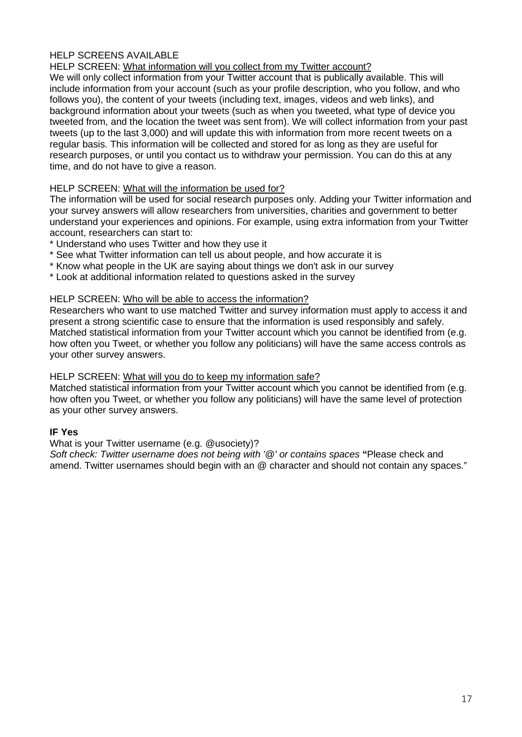## HELP SCREENS AVAILABLE

## HELP SCREEN: What information will you collect from my Twitter account?

We will only collect information from your Twitter account that is publically available. This will include information from your account (such as your profile description, who you follow, and who follows you), the content of your tweets (including text, images, videos and web links), and background information about your tweets (such as when you tweeted, what type of device you tweeted from, and the location the tweet was sent from). We will collect information from your past tweets (up to the last 3,000) and will update this with information from more recent tweets on a regular basis. This information will be collected and stored for as long as they are useful for research purposes, or until you contact us to withdraw your permission. You can do this at any time, and do not have to give a reason.

#### HELP SCREEN: What will the information be used for?

The information will be used for social research purposes only. Adding your Twitter information and your survey answers will allow researchers from universities, charities and government to better understand your experiences and opinions. For example, using extra information from your Twitter account, researchers can start to:

- \* Understand who uses Twitter and how they use it
- \* See what Twitter information can tell us about people, and how accurate it is
- \* Know what people in the UK are saying about things we don't ask in our survey
- \* Look at additional information related to questions asked in the survey

#### HELP SCREEN: Who will be able to access the information?

Researchers who want to use matched Twitter and survey information must apply to access it and present a strong scientific case to ensure that the information is used responsibly and safely. Matched statistical information from your Twitter account which you cannot be identified from (e.g. how often you Tweet, or whether you follow any politicians) will have the same access controls as your other survey answers.

#### HELP SCREEN: What will you do to keep my information safe?

Matched statistical information from your Twitter account which you cannot be identified from (e.g. how often you Tweet, or whether you follow any politicians) will have the same level of protection as your other survey answers.

#### **IF Yes**

#### What is your Twitter username (e.g. @usociety)?

*Soft check: Twitter username does not being with '@' or contains spaces* **"**Please check and amend. Twitter usernames should begin with an @ character and should not contain any spaces."